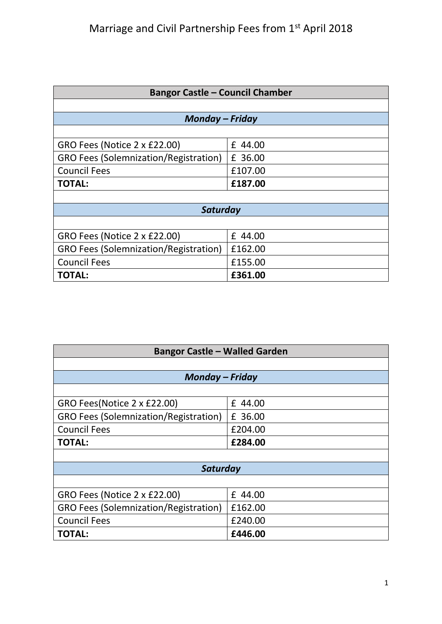| <b>Bangor Castle - Council Chamber</b>       |         |  |
|----------------------------------------------|---------|--|
|                                              |         |  |
| <b>Monday – Friday</b>                       |         |  |
|                                              |         |  |
| GRO Fees (Notice 2 x £22.00)                 | £ 44.00 |  |
| <b>GRO Fees (Solemnization/Registration)</b> | £ 36.00 |  |
| <b>Council Fees</b>                          | £107.00 |  |
| <b>TOTAL:</b>                                | £187.00 |  |
|                                              |         |  |
| Saturday                                     |         |  |
|                                              |         |  |
| GRO Fees (Notice 2 x £22.00)                 | £ 44.00 |  |
| <b>GRO Fees (Solemnization/Registration)</b> | £162.00 |  |
| <b>Council Fees</b>                          | £155.00 |  |
| <b>TOTAL:</b>                                | £361.00 |  |

| <b>Bangor Castle - Walled Garden</b>         |         |  |
|----------------------------------------------|---------|--|
|                                              |         |  |
| Monday – Friday                              |         |  |
|                                              |         |  |
| GRO Fees(Notice 2 x £22.00)                  | £ 44.00 |  |
| <b>GRO Fees (Solemnization/Registration)</b> | £ 36.00 |  |
| <b>Council Fees</b>                          | £204.00 |  |
| <b>TOTAL:</b>                                | £284.00 |  |
|                                              |         |  |
| Saturday                                     |         |  |
|                                              |         |  |
| GRO Fees (Notice 2 x £22.00)                 | £ 44.00 |  |
| <b>GRO Fees (Solemnization/Registration)</b> | £162.00 |  |
| <b>Council Fees</b>                          | £240.00 |  |
| <b>TOTAL:</b>                                | £446.00 |  |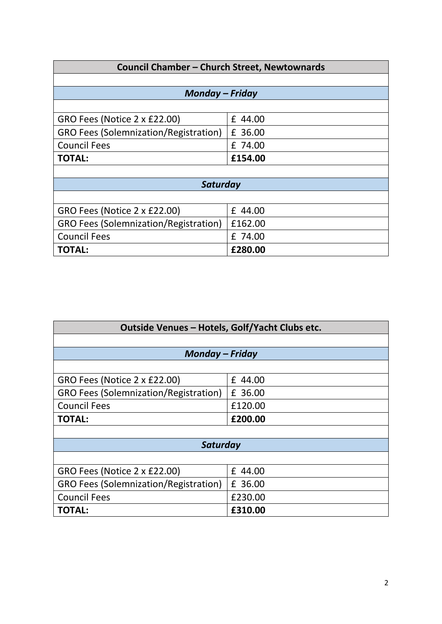| Council Chamber - Church Street, Newtownards |         |  |
|----------------------------------------------|---------|--|
|                                              |         |  |
| <b>Monday - Friday</b>                       |         |  |
|                                              |         |  |
| GRO Fees (Notice 2 x £22.00)                 | £ 44.00 |  |
| <b>GRO Fees (Solemnization/Registration)</b> | £ 36.00 |  |
| <b>Council Fees</b>                          | £ 74.00 |  |
| <b>TOTAL:</b>                                | £154.00 |  |
|                                              |         |  |
| Saturday                                     |         |  |
|                                              |         |  |
| GRO Fees (Notice 2 x £22.00)                 | £ 44.00 |  |
| <b>GRO Fees (Solemnization/Registration)</b> | £162.00 |  |
| <b>Council Fees</b>                          | £ 74.00 |  |
| <b>TOTAL:</b>                                | £280.00 |  |

| Outside Venues - Hotels, Golf/Yacht Clubs etc. |         |  |
|------------------------------------------------|---------|--|
|                                                |         |  |
| <b>Monday - Friday</b>                         |         |  |
|                                                |         |  |
| GRO Fees (Notice 2 x £22.00)                   | £ 44.00 |  |
| <b>GRO Fees (Solemnization/Registration)</b>   | £ 36.00 |  |
| <b>Council Fees</b>                            | £120.00 |  |
| <b>TOTAL:</b>                                  | £200.00 |  |
|                                                |         |  |
| Saturday                                       |         |  |
|                                                |         |  |
| GRO Fees (Notice 2 x £22.00)                   | £ 44.00 |  |
| <b>GRO Fees (Solemnization/Registration)</b>   | £ 36.00 |  |
| <b>Council Fees</b>                            | £230.00 |  |
| <b>TOTAL:</b>                                  | £310.00 |  |